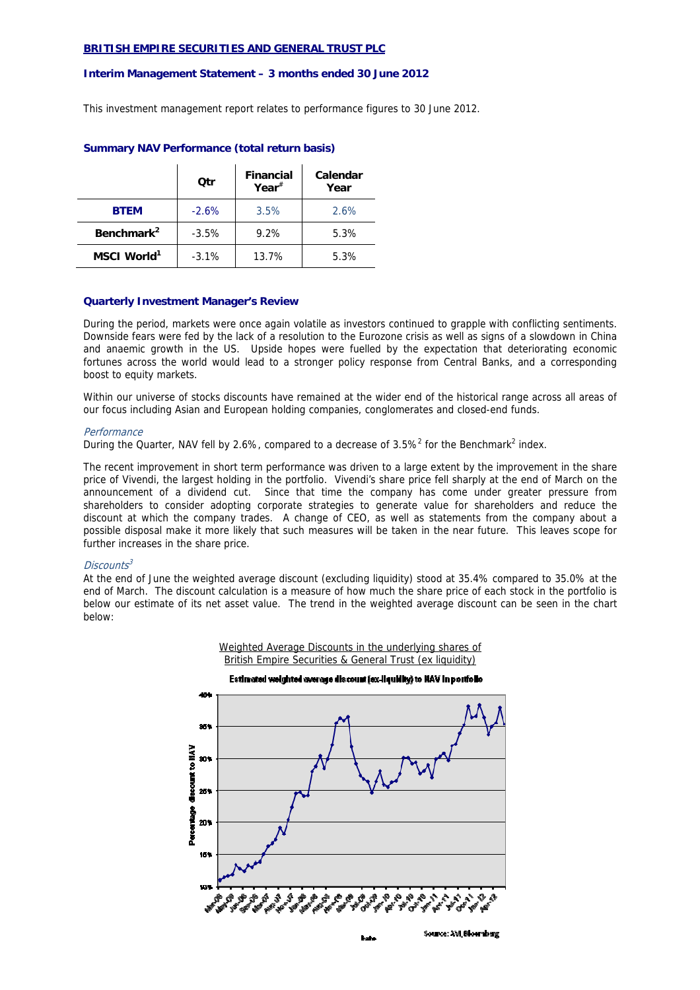### **BRITISH EMPIRE SECURITIES AND GENERAL TRUST PLC**

#### **Interim Management Statement – 3 months ended 30 June 2012**

This investment management report relates to performance figures to 30 June 2012.

|                         | Otr     | <b>Financial</b><br>Year $*$ | Calendar<br>Year |
|-------------------------|---------|------------------------------|------------------|
| <b>BTEM</b>             | $-2.6%$ | 3.5%                         | 2.6%             |
| Benchmark <sup>2</sup>  | $-3.5%$ | 9.2%                         | 5.3%             |
| MSCI World <sup>1</sup> | $-3.1%$ | 13.7%                        | 5.3%             |

# **Summary NAV Performance (total return basis)**

# **Quarterly Investment Manager's Review**

During the period, markets were once again volatile as investors continued to grapple with conflicting sentiments. Downside fears were fed by the lack of a resolution to the Eurozone crisis as well as signs of a slowdown in China and anaemic growth in the US. Upside hopes were fuelled by the expectation that deteriorating economic fortunes across the world would lead to a stronger policy response from Central Banks, and a corresponding boost to equity markets.

Within our universe of stocks discounts have remained at the wider end of the historical range across all areas of our focus including Asian and European holding companies, conglomerates and closed-end funds.

#### **Performance**

During the Quarter, NAV fell by 2.6%, compared to a decrease of 3.5%<sup>2</sup> for the Benchmark<sup>2</sup> index.

The recent improvement in short term performance was driven to a large extent by the improvement in the share price of Vivendi, the largest holding in the portfolio. Vivendi's share price fell sharply at the end of March on the announcement of a dividend cut. Since that time the company has come under greater pressure from shareholders to consider adopting corporate strategies to generate value for shareholders and reduce the discount at which the company trades. A change of CEO, as well as statements from the company about a possible disposal make it more likely that such measures will be taken in the near future. This leaves scope for further increases in the share price.

### $Discounts<sup>3</sup>$

At the end of June the weighted average discount (excluding liquidity) stood at 35.4% compared to 35.0% at the end of March. The discount calculation is a measure of how much the share price of each stock in the portfolio is below our estimate of its net asset value. The trend in the weighted average discount can be seen in the chart below:

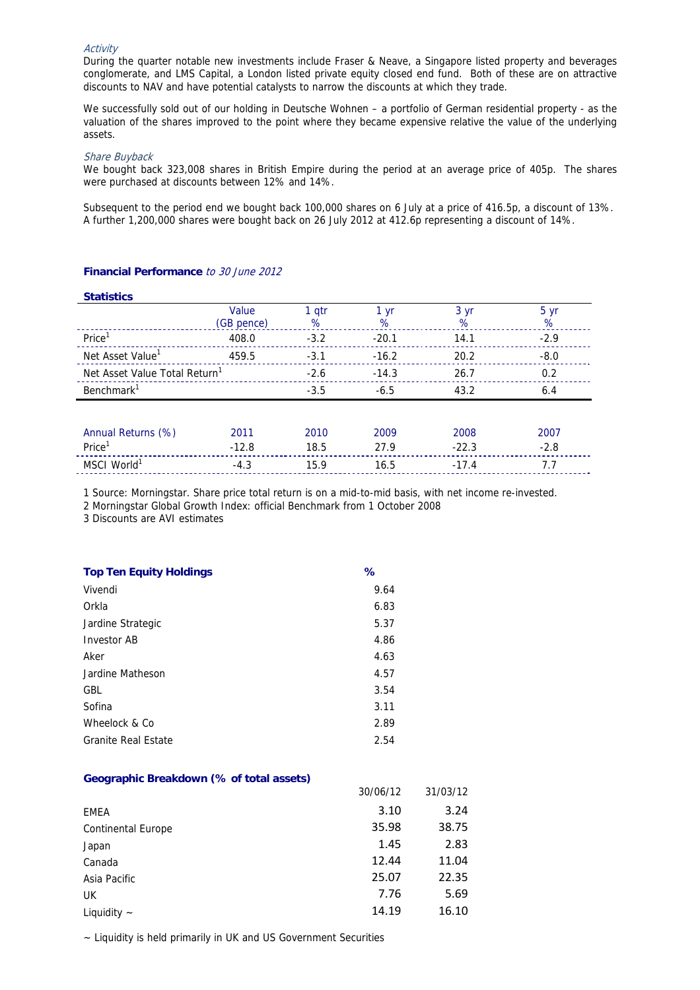## **Activity**

During the quarter notable new investments include Fraser & Neave, a Singapore listed property and beverages conglomerate, and LMS Capital, a London listed private equity closed end fund. Both of these are on attractive discounts to NAV and have potential catalysts to narrow the discounts at which they trade.

We successfully sold out of our holding in Deutsche Wohnen – a portfolio of German residential property - as the valuation of the shares improved to the point where they became expensive relative the value of the underlying assets.

#### Share Buyback

We bought back 323,008 shares in British Empire during the period at an average price of 405p. The shares were purchased at discounts between 12% and 14%.

Subsequent to the period end we bought back 100,000 shares on 6 July at a price of 416.5p, a discount of 13%. A further 1,200,000 shares were bought back on 26 July 2012 at 412.6p representing a discount of 14%.

# **Financial Performance** to 30 June 2012

#### **Statistics**

|                                           | Value      | 1 qtr  | 1 yr    | 3 yr    | $5 \text{ yr}$ |
|-------------------------------------------|------------|--------|---------|---------|----------------|
|                                           | (GB pence) | %      | %       | %       | %              |
| Price <sup>1</sup>                        | 408.0      | $-3.2$ | $-20.1$ | 14.1    | $-2.9$         |
| Net Asset Value <sup>1</sup>              | 459.5      | $-3.1$ | $-16.2$ | 20.2    | $-8.0$         |
| Net Asset Value Total Return <sup>1</sup> |            | $-2.6$ | $-14.3$ | 26.7    | 0.2            |
| Benchmark <sup>1</sup>                    |            | $-3.5$ | $-6.5$  | 43.2    | 6.4            |
|                                           |            |        |         |         |                |
| Annual Returns (%)                        | 2011       | 2010   | 2009    | 2008    | 2007           |
| Price <sup>1</sup>                        | $-12.8$    | 18.5   | 27.9    | $-22.3$ | $-2.8$         |
| MSCI World <sup>1</sup>                   | $-4.3$     | 15.9   | 16.5    | $-17.4$ | 7.7            |

1 Source: Morningstar. Share price total return is on a mid-to-mid basis, with net income re-invested.

2 Morningstar Global Growth Index: official Benchmark from 1 October 2008

3 Discounts are AVI estimates

| <b>Top Ten Equity Holdings</b> | ℅    |
|--------------------------------|------|
| Vivendi                        | 9.64 |
| Orkla                          | 6.83 |
| Jardine Strategic              | 5.37 |
| Investor AB                    | 4.86 |
| Aker                           | 4.63 |
| Jardine Matheson               | 4.57 |
| GBL.                           | 3.54 |
| Sofina                         | 3.11 |
| Wheelock & Co                  | 2.89 |
| <b>Granite Real Estate</b>     | 2.54 |

### **Geographic Breakdown (% of total assets)**

| 30/06/12 | 31/03/12 |
|----------|----------|
| 3.10     | 3.24     |
| 35.98    | 38.75    |
| 1.45     | 2.83     |
| 12.44    | 11.04    |
| 25.07    | 22.35    |
| 7.76     | 5.69     |
| 14.19    | 16.10    |
|          |          |

~ Liquidity is held primarily in UK and US Government Securities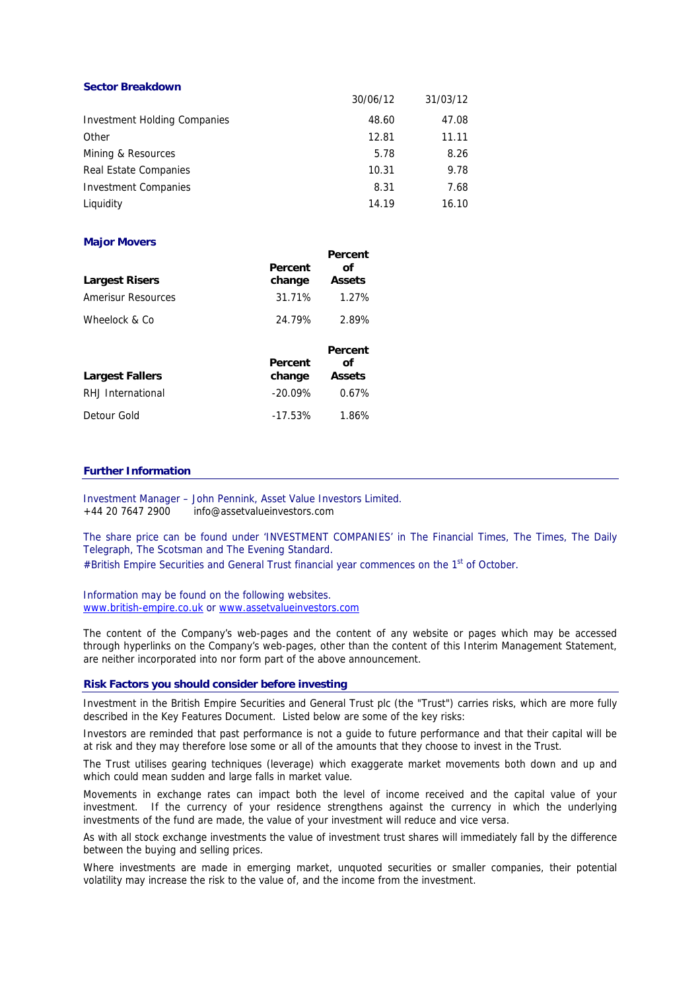| <b>Sector Breakdown</b>      |          |          |
|------------------------------|----------|----------|
|                              | 30/06/12 | 31/03/12 |
| Investment Holding Companies | 48.60    | 47.08    |
| Other                        | 12.81    | 11.11    |
| Mining & Resources           | 5.78     | 8.26     |
| Real Estate Companies        | 10.31    | 9.78     |
| <b>Investment Companies</b>  | 8.31     | 7.68     |
| Liguidity                    | 14.19    | 16.10    |

## **Major Movers**

| <b>Largest Risers</b>     | Percent<br>change | reiceill<br>Ωf<br><b>Assets</b> |
|---------------------------|-------------------|---------------------------------|
| <b>Amerisur Resources</b> | 31.71%            | 1.27%                           |
| Wheelock & Co             | 24.79%            | 2.89%                           |
| <b>Largest Fallers</b>    | Percent<br>change | Percent<br>Ωf<br><b>Assets</b>  |
| RHJ International         | $-20.09%$         | 0.67%                           |
| Detour Gold               | $-17.53%$         | 1.86%                           |

# **Further Information**

Investment Manager – John Pennink, Asset Value Investors Limited. +44 20 7647 2900 info@assetvalueinvestors.com

The share price can be found under 'INVESTMENT COMPANIES' in The Financial Times, The Times, The Daily Telegraph, The Scotsman and The Evening Standard.

**Percent** 

#British Empire Securities and General Trust financial year commences on the 1<sup>st</sup> of October.

Information may be found on the following websites. www.british-empire.co.uk or www.assetvalueinvestors.com

The content of the Company's web-pages and the content of any website or pages which may be accessed through hyperlinks on the Company's web-pages, other than the content of this Interim Management Statement, are neither incorporated into nor form part of the above announcement.

### **Risk Factors you should consider before investing**

Investment in the British Empire Securities and General Trust plc (the "Trust") carries risks, which are more fully described in the Key Features Document. Listed below are some of the key risks:

Investors are reminded that past performance is not a guide to future performance and that their capital will be at risk and they may therefore lose some or all of the amounts that they choose to invest in the Trust.

The Trust utilises gearing techniques (leverage) which exaggerate market movements both down and up and which could mean sudden and large falls in market value.

Movements in exchange rates can impact both the level of income received and the capital value of your investment. If the currency of your residence strengthens against the currency in which the underlying investments of the fund are made, the value of your investment will reduce and vice versa.

As with all stock exchange investments the value of investment trust shares will immediately fall by the difference between the buying and selling prices.

Where investments are made in emerging market, unquoted securities or smaller companies, their potential volatility may increase the risk to the value of, and the income from the investment.